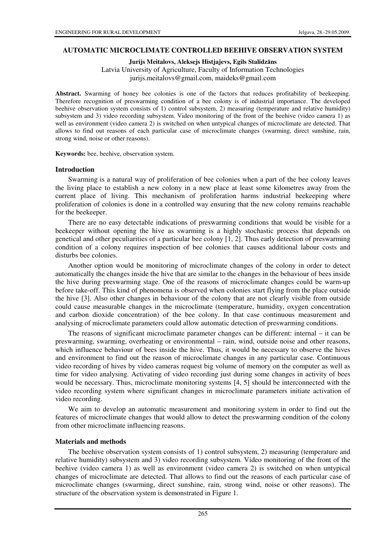## **AUTOMATIC MICROCLIMATE CONTROLLED BEEHIVE OBSERVATION SYSTEM**

**Jurijs Meitalovs, Aleksejs Histjajevs, Egils Stalidz**ā**ns** 

Latvia University of Agriculture, Faculty of Information Technologies jurijs.meitalovs@gmail.com, maideks@gmail.com

Abstract. Swarming of honey bee colonies is one of the factors that reduces profitability of beekeeping. Therefore recognition of preswarming condition of a bee colony is of industrial importance. The developed beehive observation system consists of 1) control subsystem, 2) measuring (temperature and relative humidity) subsystem and 3) video recording subsystem. Video monitoring of the front of the beehive (video camera 1) as well as environment (video camera 2) is switched on when untypical changes of microclimate are detected. That allows to find out reasons of each particular case of microclimate changes (swarming, direct sunshine, rain, strong wind, noise or other reasons).

**Keywords:** bee, beehive, observation system.

## **Introduction**

Swarming is a natural way of proliferation of bee colonies when a part of the bee colony leaves the living place to establish a new colony in a new place at least some kilometres away from the current place of living. This mechanism of proliferation harms industrial beekeeping where proliferation of colonies is done in a controlled way ensuring that the new colony remains reachable for the beekeeper.

There are no easy detectable indications of preswarming conditions that would be visible for a beekeeper without opening the hive as swarming is a highly stochastic process that depends on genetical and other peculiarities of a particular bee colony [1, 2]. Thus early detection of preswarming condition of a colony requires inspection of bee colonies that causes additional labour costs and disturbs bee colonies.

Another option would be monitoring of microclimate changes of the colony in order to detect automatically the changes inside the hive that are similar to the changes in the behaviour of bees inside the hive during preswarming stage. One of the reasons of microclimate changes could be warm-up before take-off. This kind of phenomena is observed when colonies start flying from the place outside the hive [3]. Also other changes in behaviour of the colony that are not clearly visible from outside could cause measurable changes in the microclimate (temperature, humidity, oxygen concentration and carbon dioxide concentration) of the bee colony. In that case continuous measurement and analysing of microclimate parameters could allow automatic detection of preswarming conditions.

The reasons of significant microclimate parameter changes can be different: internal – it can be preswarming, swarming, overheating or environmental – rain, wind, outside noise and other reasons, which influence behaviour of bees inside the hive. Thus, it would be necessary to observe the hives and environment to find out the reason of microclimate changes in any particular case. Continuous video recording of hives by video cameras request big volume of memory on the computer as well as time for video analysing. Activating of video recording just during some changes in activity of bees would be necessary. Thus, microclimate monitoring systems [4, 5] should be interconnected with the video recording system where significant changes in microclimate parameters initiate activation of video recording.

We aim to develop an automatic measurement and monitoring system in order to find out the features of microclimate changes that would allow to detect the preswarming condition of the colony from other microclimate influencing reasons.

# **Materials and methods**

The beehive observation system consists of 1) control subsystem, 2) measuring (temperature and relative humidity) subsystem and 3) video recording subsystem. Video monitoring of the front of the beehive (video camera 1) as well as environment (video camera 2) is switched on when untypical changes of microclimate are detected. That allows to find out the reasons of each particular case of microclimate changes (swarming, direct sunshine, rain, strong wind, noise or other reasons). The structure of the observation system is demonstrated in Figure 1.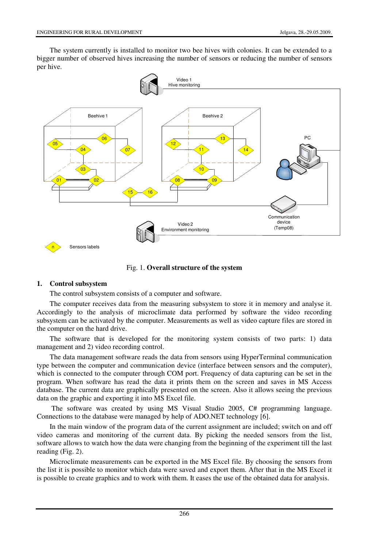The system currently is installed to monitor two bee hives with colonies. It can be extended to a bigger number of observed hives increasing the number of sensors or reducing the number of sensors per hive.



Fig. 1. **Overall structure of the system** 

# **1. Control subsystem**

The control subsystem consists of a computer and software.

The computer receives data from the measuring subsystem to store it in memory and analyse it. Accordingly to the analysis of microclimate data performed by software the video recording subsystem can be activated by the computer. Measurements as well as video capture files are stored in the computer on the hard drive.

The software that is developed for the monitoring system consists of two parts: 1) data management and 2) video recording control.

The data management software reads the data from sensors using HyperTerminal communication type between the computer and communication device (interface between sensors and the computer), which is connected to the computer through COM port. Frequency of data capturing can be set in the program. When software has read the data it prints them on the screen and saves in MS Access database. The current data are graphically presented on the screen. Also it allows seeing the previous data on the graphic and exporting it into MS Excel file.

 The software was created by using MS Visual Studio 2005, C# programming language. Connections to the database were managed by help of ADO.NET technology [6].

In the main window of the program data of the current assignment are included; switch on and off video cameras and monitoring of the current data. By picking the needed sensors from the list, software allows to watch how the data were changing from the beginning of the experiment till the last reading (Fig. 2).

Microclimate measurements can be exported in the MS Excel file. By choosing the sensors from the list it is possible to monitor which data were saved and export them. After that in the MS Excel it is possible to create graphics and to work with them. It eases the use of the obtained data for analysis.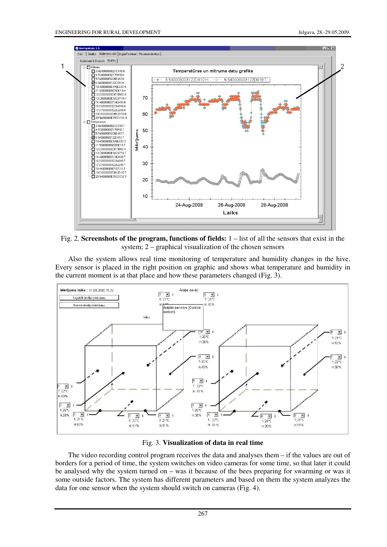

Fig. 2. **Screenshots of the program, functions of fields:** 1 – list of all the sensors that exist in the system; 2 – graphical visualization of the chosen sensors

Also the system allows real time monitoring of temperature and humidity changes in the hive. Every sensor is placed in the right position on graphic and shows what temperature and humidity in the current moment is at that place and how these parameters changed (Fig. 3).





The video recording control program receives the data and analyses them – if the values are out of borders for a period of time, the system switches on video cameras for some time, so that later it could be analysed why the system turned on – was it because of the bees preparing for swarming or was it some outside factors. The system has different parameters and based on them the system analyzes the data for one sensor when the system should switch on cameras (Fig. 4).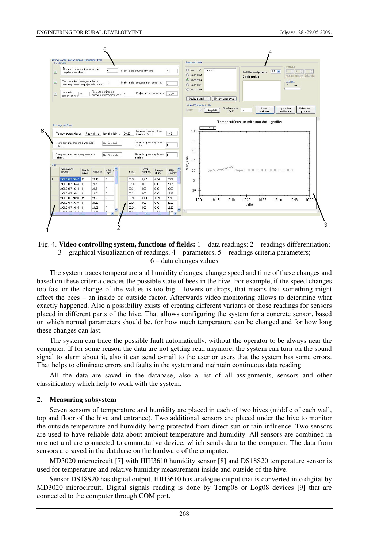

Fig. 4. **Video controlling system, functions of fields:** 1 – data readings; 2 – readings differentiation; 3 – graphical visualization of readings; 4 – parameters, 5 – readings criteria parameters; 6 – data changes values

The system traces temperature and humidity changes, change speed and time of these changes and based on these criteria decides the possible state of bees in the hive. For example, if the speed changes too fast or the change of the values is too big – lowers or drops, that means that something might affect the bees – an inside or outside factor. Afterwards video monitoring allows to determine what exactly happened. Also a possibility exists of creating different variants of those readings for sensors placed in different parts of the hive. That allows configuring the system for a concrete sensor, based on which normal parameters should be, for how much temperature can be changed and for how long these changes can last.

The system can trace the possible fault automatically, without the operator to be always near the computer. If for some reason the data are not getting read anymore, the system can turn on the sound signal to alarm about it, also it can send e-mail to the user or users that the system has some errors. That helps to eliminate errors and faults in the system and maintain continuous data reading.

All the data are saved in the database, also a list of all assignments, sensors and other classificatory which help to work with the system.

#### **2. Measuring subsystem**

Seven sensors of temperature and humidity are placed in each of two hives (middle of each wall, top and floor of the hive and entrance). Two additional sensors are placed under the hive to monitor the outside temperature and humidity being protected from direct sun or rain influence. Two sensors are used to have reliable data about ambient temperature and humidity. All sensors are combined in one net and are connected to commutative device, which sends data to the computer. The data from sensors are saved in the database on the hardware of the computer.

MD3020 microcircuit [7] with HIH3610 humidity sensor [8] and DS18S20 temperature sensor is used for temperature and relative humidity measurement inside and outside of the hive.

Sensor DS18S20 has digital output. HIH3610 has analogue output that is converted into digital by MD3020 microcircuit. Digital signals reading is done by Temp08 or Log08 devices [9] that are connected to the computer through COM port.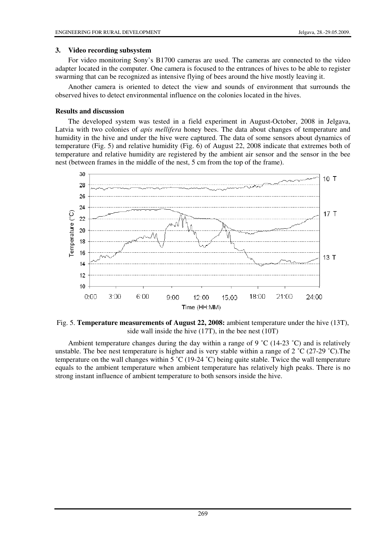## **3. Video recording subsystem**

For video monitoring Sony's B1700 cameras are used. The cameras are connected to the video adapter located in the computer. One camera is focused to the entrances of hives to be able to register swarming that can be recognized as intensive flying of bees around the hive mostly leaving it.

Another camera is oriented to detect the view and sounds of environment that surrounds the observed hives to detect environmental influence on the colonies located in the hives.

## **Results and discussion**

The developed system was tested in a field experiment in August-October, 2008 in Jelgava, Latvia with two colonies of *apis mellifera* honey bees. The data about changes of temperature and humidity in the hive and under the hive were captured. The data of some sensors about dynamics of temperature (Fig. 5) and relative humidity (Fig. 6) of August 22, 2008 indicate that extremes both of temperature and relative humidity are registered by the ambient air sensor and the sensor in the bee nest (between frames in the middle of the nest, 5 cm from the top of the frame).



Fig. 5. **Temperature measurements of August 22, 2008:** ambient temperature under the hive (13T), side wall inside the hive (17T), in the bee nest (10T)

Ambient temperature changes during the day within a range of 9  $\degree$ C (14-23  $\degree$ C) and is relatively unstable. The bee nest temperature is higher and is very stable within a range of 2 ˚C (27-29 ˚C).The temperature on the wall changes within 5  $\degree$ C (19-24  $\degree$ C) being quite stable. Twice the wall temperature equals to the ambient temperature when ambient temperature has relatively high peaks. There is no strong instant influence of ambient temperature to both sensors inside the hive.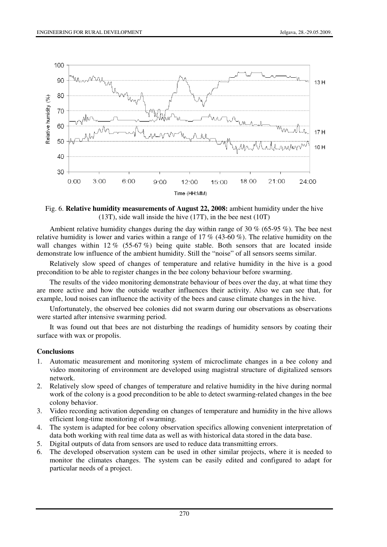

Fig. 6. **Relative humidity measurements of August 22, 2008:** ambient humidity under the hive (13T), side wall inside the hive (17T), in the bee nest (10T)

Ambient relative humidity changes during the day within range of 30  $\%$  (65-95  $\%$ ). The bee nest relative humidity is lower and varies within a range of 17 % (43-60 %). The relative humidity on the wall changes within  $12\%$  (55-67%) being quite stable. Both sensors that are located inside demonstrate low influence of the ambient humidity. Still the "noise" of all sensors seems similar.

Relatively slow speed of changes of temperature and relative humidity in the hive is a good precondition to be able to register changes in the bee colony behaviour before swarming.

The results of the video monitoring demonstrate behaviour of bees over the day, at what time they are more active and how the outside weather influences their activity. Also we can see that, for example, loud noises can influence the activity of the bees and cause climate changes in the hive.

Unfortunately, the observed bee colonies did not swarm during our observations as observations were started after intensive swarming period.

It was found out that bees are not disturbing the readings of humidity sensors by coating their surface with wax or propolis.

# **Conclusions**

- 1. Automatic measurement and monitoring system of microclimate changes in a bee colony and video monitoring of environment are developed using magistral structure of digitalized sensors network.
- 2. Relatively slow speed of changes of temperature and relative humidity in the hive during normal work of the colony is a good precondition to be able to detect swarming-related changes in the bee colony behavior.
- 3. Video recording activation depending on changes of temperature and humidity in the hive allows efficient long-time monitoring of swarming.
- 4. The system is adapted for bee colony observation specifics allowing convenient interpretation of data both working with real time data as well as with historical data stored in the data base.
- 5. Digital outputs of data from sensors are used to reduce data transmitting errors.
- 6. The developed observation system can be used in other similar projects, where it is needed to monitor the climates changes. The system can be easily edited and configured to adapt for particular needs of a project.